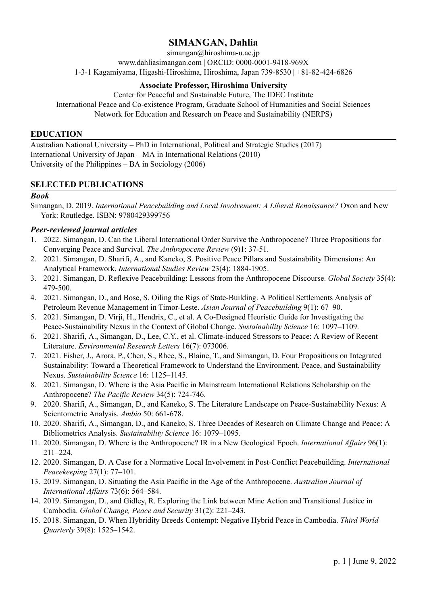# **SIMANGAN, Dahlia**

simangan@hiroshima-u.ac.jp [www.dahliasimangan.com](https://dahliasimangan.com/) | ORCID: [0000-0001-9418-969X](https://orcid.org/0000-0001-9418-969X) 1-3-1 Kagamiyama, Higashi-Hiroshima, Hiroshima, Japan 739-8530 | +81-82-424-6826

### **Associate Professor, Hiroshima University**

Center for Peaceful and Sustainable Future, The IDEC Institute International Peace and Co-existence Program, Graduate School of Humanities and Social Sciences Network for Education and Research on Peace and Sustainability (NERPS)

#### **EDUCATION**

Australian National University – PhD in International, Political and Strategic Studies (2017) International University of Japan – MA in International Relations (2010) University of the Philippines – BA in Sociology (2006)

### **SELECTED PUBLICATIONS**

#### *Book*

Simangan, D. 2019. *International Peacebuilding and Local Involvement: A Liberal Renaissance?* Oxon and New York: Routledge. ISBN: [9780429399756](https://www.routledge.com/International-Peacebuilding-and-Local-Involvement-A-Liberal-Renaissance/Simangan/p/book/9780367731861)

#### *Peer-reviewed journal articles*

- 1. 2022. Simangan, D. Can the Liberal International Order Survive the Anthropocene? Three Propositions for Converging Peace and Survival. *The Anthropocene Review* (9)1: 37-51.
- 2. 2021. Simangan, D. Sharifi, A., and Kaneko, S. Positive Peace Pillars and Sustainability Dimensions: An Analytical Framework. *International Studies Review* 23(4): 1884-1905.
- 3. 2021. Simangan, D. Reflexive Peacebuilding: Lessons from the Anthropocene Discourse. *Global Society* 35(4): 479-500.
- 4. 2021. Simangan, D., and Bose, S. Oiling the Rigs of State-Building. A Political Settlements Analysis of Petroleum Revenue Management in Timor-Leste. *Asian Journal of Peacebuilding* 9(1): 67–90.
- 5. 2021. Simangan, D. Virji, H., Hendrix, C., et al. A Co-Designed Heuristic Guide for Investigating the Peace-Sustainability Nexus in the Context of Global Change. *Sustainability Science* 16: 1097–1109.
- 6. 2021. Sharifi, A., Simangan, D., Lee, C.Y., et al. Climate-induced Stressors to Peace: A Review of Recent Literature. *Environmental Research Letters* 16(7): 073006.
- 7. 2021. Fisher, J., Arora, P., Chen, S., Rhee, S., Blaine, T., and Simangan, D. Four Propositions on Integrated Sustainability: Toward a Theoretical Framework to Understand the Environment, Peace, and Sustainability Nexus. *Sustainability Science* 16: 1125–1145.
- 8. 2021. Simangan, D. Where is the Asia Pacific in Mainstream International Relations Scholarship on the Anthropocene? *The Pacific Review* 34(5): 724-746.
- 9. 2020. Sharifi, A., Simangan, D., and Kaneko, S. The Literature Landscape on Peace-Sustainability Nexus: A Scientometric Analysis. *Ambio* 50: 661-678.
- 10. 2020. Sharifi, A., Simangan, D., and Kaneko, S. Three Decades of Research on Climate Change and Peace: A Bibliometrics Analysis. *Sustainability Science* 16: 1079–1095.
- 11. 2020. Simangan, D. Where is the Anthropocene? IR in a New Geological Epoch. *International Af airs* 96(1): 211–224.
- 12. 2020. Simangan, D. A Case for a Normative Local Involvement in Post-Conflict Peacebuilding. *International Peacekeeping* 27(1): 77–101.
- 13. 2019. Simangan, D. Situating the Asia Pacific in the Age of the Anthropocene. *Australian Journal of International Af airs* 73(6): 564–584.
- 14. 2019. Simangan, D., and Gidley, R. Exploring the Link between Mine Action and Transitional Justice in Cambodia. *Global Change, Peace and Security* 31(2): 221–243.
- 15. 2018. Simangan, D. When Hybridity Breeds Contempt: Negative Hybrid Peace in Cambodia. *Third World Quarterly* 39(8): 1525–1542.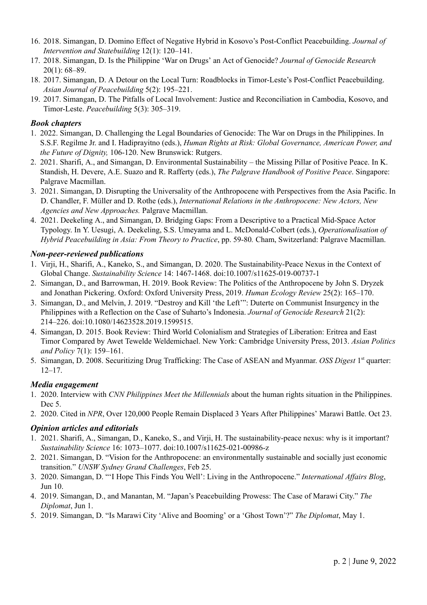- 16. 2018. Simangan, D. Domino Effect of Negative Hybrid in Kosovo's Post-Conflict Peacebuilding. *Journal of Intervention and Statebuilding* 12(1): 120–141.
- 17. 2018. Simangan, D. Is the Philippine 'War on Drugs' an Act of Genocide? *Journal of Genocide Research* 20(1): 68–89.
- 18. 2017. Simangan, D. A Detour on the Local Turn: Roadblocks in Timor-Leste's Post-Conflict Peacebuilding. *Asian Journal of Peacebuilding* 5(2): 195–221.
- 19. 2017. Simangan, D. The Pitfalls of Local Involvement: Justice and Reconciliation in Cambodia, Kosovo, and Timor-Leste. *Peacebuilding* 5(3): 305–319.

### *Book chapters*

- 1. 2022. Simangan, D. Challenging the Legal Boundaries of Genocide: The War on Drugs in the Philippines. In S.S.F. Regilme Jr. and I. Hadiprayitno (eds.), *Human Rights at Risk: Global Governance, American Power, and the Future of Dignity,* 106-120. New Brunswick: Rutgers.
- 2. 2021. Sharifi, A., and Simangan, D. Environmental Sustainability the Missing Pillar of Positive Peace. In K. Standish, H. Devere, A.E. Suazo and R. Rafferty (eds.), *The Palgrave Handbook of Positive Peace*. Singapore: Palgrave Macmillan.
- 3. 2021. Simangan, D. Disrupting the Universality of the Anthropocene with Perspectives from the Asia Pacific. In D. Chandler, F. Müller and D. Rothe (eds.), *International Relations in the Anthropocene: New Actors, New Agencies and New Approaches.* Palgrave Macmillan.
- 4. 2021. Deekeling A., and Simangan, D. Bridging Gaps: From a Descriptive to a Practical Mid-Space Actor Typology. In Y. Uesugi, A. Deekeling, S.S. Umeyama and L. McDonald-Colbert (eds.), *Operationalisation of Hybrid Peacebuilding in Asia: From Theory to Practice*, pp. 59-80*.* Cham, Switzerland: Palgrave Macmillan.

### *Non-peer-reviewed publications*

- 1. Virji, H., Sharifi, A., Kaneko, S., and Simangan, D. 2020. The Sustainability-Peace Nexus in the Context of Global Change. *Sustainability Science* 14: 1467-1468. doi:[10.1007/s11625-019-00737-1](https://doi.org/10.1007/s11625-019-00737-1)
- 2. Simangan, D., and Barrowman, H. 2019. Book Review: The Politics of the Anthropocene by John S. Dryzek and Jonathan Pickering. Oxford: Oxford University Press, 2019. *Human Ecology Review* 25(2): 165–170.
- 3. Simangan, D., and Melvin, J. 2019. "Destroy and Kill 'the Left'": Duterte on Communist Insurgency in the Philippines with a Reflection on the Case of Suharto's Indonesia. *Journal of Genocide Research* 21(2): 214–226. doi:[10.1080/14623528.2019.1599515](https://doi.org/10.1080/14623528.2019.1599515).
- 4. Simangan, D. 2015. Book Review: Third World Colonialism and Strategies of Liberation: Eritrea and East Timor Compared by Awet Tewelde Weldemichael. New York: Cambridge University Press, 2013. *Asian Politics and Policy* 7(1): 159–161.
- 5. Simangan, D. 2008. Securitizing Drug Trafficking: The Case of ASEAN and Myanmar. *OSS Digest* 1 st quarter: 12–17.

### *Media engagement*

- 1. 2020. Interview with *CNN Philippines Meet the Millennials* about the human rights situation in the Philippines. Dec 5.
- 2. 2020. Cited in *NPR*, Over 120,000 People Remain Displaced 3 Years After Philippines' Marawi Battle. Oct 23.

### *Opinion articles and editorials*

- 1. 2021. Sharifi, A., Simangan, D., Kaneko, S., and Virji, H. The sustainability-peace nexus: why is it important? *Sustainability Science* 16: 1073–1077. doi[:10.1007/s11625-021-00986-z](https://doi.org/10.1007/s11625-021-00986-z)
- 2. 2021. Simangan, D. "Vision for the Anthropocene: an environmentally sustainable and socially just economic transition." *UNSW Sydney Grand Challenges*, Feb 25.
- 3. 2020. Simangan, D. "'I Hope This Finds You Well': Living in the Anthropocene." *International Af airs Blog*, Jun 10.
- 4. 2019. Simangan, D., and Manantan, M. "Japan's Peacebuilding Prowess: The Case of Marawi City." *The Diplomat*, Jun 1.
- 5. 2019. Simangan, D. "Is Marawi City 'Alive and Booming' or a 'Ghost Town'?" *The Diplomat*, May 1.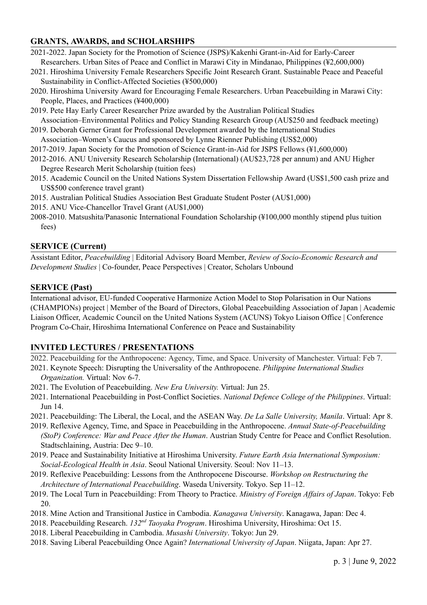# **GRANTS, AWARDS, and SCHOLARSHIPS**

- 2021-2022. Japan Society for the Promotion of Science (JSPS)/Kakenhi Grant-in-Aid for Early-Career Researchers. Urban Sites of Peace and Conflict in Marawi City in Mindanao, Philippines (¥2,600,000)
- 2021. Hiroshima University Female Researchers Specific Joint Research Grant. Sustainable Peace and Peaceful Sustainability in Conflict-Affected Societies (¥500,000)
- 2020. Hiroshima University Award for Encouraging Female Researchers. Urban Peacebuilding in Marawi City: People, Places, and Practices (¥400,000)
- 2019. Pete Hay Early Career Researcher Prize awarded by the Australian Political Studies Association–Environmental Politics and Policy Standing Research Group (AU\$250 and feedback meeting)
- 2019. Deborah Gerner Grant for Professional Development awarded by the International Studies Association–Women's Caucus and sponsored by Lynne Rienner Publishing (US\$2,000)
- 2017-2019. Japan Society for the Promotion of Science Grant-in-Aid for JSPS Fellows (¥1,600,000)
- 2012-2016. ANU University Research Scholarship (International) (AU\$23,728 per annum) and ANU Higher Degree Research Merit Scholarship (tuition fees)
- 2015. Academic Council on the United Nations System Dissertation Fellowship Award (US\$1,500 cash prize and US\$500 conference travel grant)
- 2015. Australian Political Studies Association Best Graduate Student Poster (AU\$1,000)
- 2015. ANU Vice-Chancellor Travel Grant (AU\$1,000)
- 2008-2010. Matsushita/Panasonic International Foundation Scholarship (¥100,000 monthly stipend plus tuition fees)

### **SERVICE (Current)**

Assistant Editor, *[Peacebuilding](https://www.tandfonline.com/toc/rpcb20/current)* | Editorial Advisory Board Member, *Review of [Socio-Economic](http://www.reserds.com/) Research and [Development](http://www.reserds.com/) Studies* | Co-founder, Peace [Perspectives](https://peaceperspectives.org/) | Creator, Scholars [Unbound](https://dahliasimangan.com/scholarsunbound/)

### **SERVICE (Past)**

International advisor, EU-funded [Cooperative](https://www.championsproject.eu/) Harmonize Action Model to Stop Polarisation in Our Nations [\(CHAMPIONs\)](https://www.championsproject.eu/) project | Member of the Board of Directors, Global [Peacebuilding](http://www.gpaj.org/) Association of Japan | Academic Liaison Officer, Academic Council on the United Nations System [\(ACUNS\)](http://www.acuns.tokyo/) Tokyo Liaison Office | Conference Program Co-Chair, Hiroshima International Conference on Peace and Sustainability

# **INVITED LECTURES / PRESENTATIONS**

- 2022. Peacebuilding for the Anthropocene: Agency, Time, and Space. University of Manchester. Virtual: Feb 7.
- 2021. Keynote Speech: Disrupting the Universality of the Anthropocene. *Philippine International Studies Organization.* Virtual: Nov 6-7.
- 2021. The Evolution of Peacebuilding. *New Era University.* Virtual: Jun 25.
- 2021. International Peacebuilding in Post-Conflict Societies. *National Defence College of the Philippines*. Virtual: Jun 14.
- 2021. Peacebuilding: The Liberal, the Local, and the ASEAN Way. *De La Salle University, Manila*. Virtual: Apr 8.
- 2019. Reflexive Agency, Time, and Space in Peacebuilding in the Anthropocene. *Annual State-of-Peacebuilding (StoP) Conference: War and Peace After the Human*. Austrian Study Centre for Peace and Conflict Resolution. Stadtschlaining, Austria: Dec 9–10.
- 2019. Peace and Sustainability Initiative at Hiroshima University. *Future Earth Asia International Symposium: Social-Ecological Health in Asia*. Seoul National University. Seoul: Nov 11–13.
- 2019. Reflexive Peacebuilding: Lessons from the Anthropocene Discourse. *Workshop on Restructuring the Architecture of International Peacebuilding*. Waseda University. Tokyo. Sep 11–12.
- 2019. The Local Turn in Peacebuilding: From Theory to Practice. *Ministry of Foreign Af airs of Japan*. Tokyo: Feb 20.
- 2018. Mine Action and Transitional Justice in Cambodia. *Kanagawa University*. Kanagawa, Japan: Dec 4.
- 2018. Peacebuilding Research. *132<sup>nd</sup> Taoyaka Program*. Hiroshima University, Hiroshima: Oct 15.
- 2018. Liberal Peacebuilding in Cambodia. *Musashi University*. Tokyo: Jun 29.
- 2018. Saving Liberal Peacebuilding Once Again? *International University of Japan*. Niigata, Japan: Apr 27.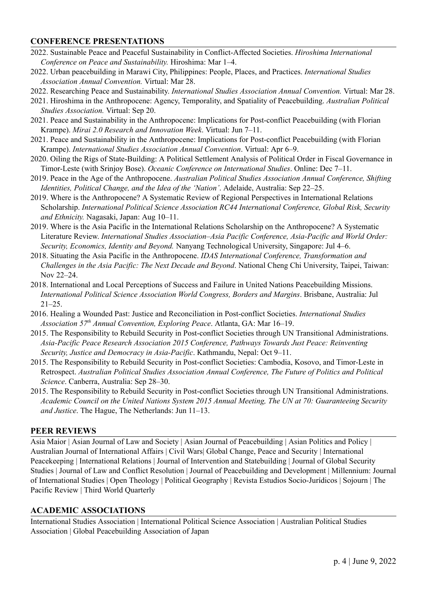### **CONFERENCE PRESENTATIONS**

- 2022. Sustainable Peace and Peaceful Sustainability in Conflict-Affected Societies. *Hiroshima International Conference on Peace and Sustainability.* Hiroshima: Mar 1–4.
- 2022. Urban peacebuilding in Marawi City, Philippines: People, Places, and Practices. *International Studies Association Annual Convention.* Virtual: Mar 28.
- 2022. Researching Peace and Sustainability. *International Studies Association Annual Convention.* Virtual: Mar 28.
- 2021. Hiroshima in the Anthropocene: Agency, Temporality, and Spatiality of Peacebuilding. *Australian Political Studies Association.* Virtual: Sep 20.
- 2021. Peace and Sustainability in the Anthropocene: Implications for Post-conflict Peacebuilding (with Florian Krampe). *Mirai 2.0 Research and Innovation Week*. Virtual: Jun 7–11.
- 2021. Peace and Sustainability in the Anthropocene: Implications for Post-conflict Peacebuilding (with Florian Krampe). *International Studies Association Annual Convention*. Virtual: Apr 6–9.
- 2020. Oiling the Rigs of State-Building: A Political Settlement Analysis of Political Order in Fiscal Governance in Timor-Leste (with Srinjoy Bose). *Oceanic Conference on International Studies*. Online: Dec 7–11.
- 2019. Peace in the Age of the Anthropocene. *Australian Political Studies Association Annual Conference, Shifting Identities, Political Change, and the Idea of the 'Nation'*. Adelaide, Australia: Sep 22–25.
- 2019. Where is the Anthropocene? A Systematic Review of Regional Perspectives in International Relations Scholarship. *International Political Science Association RC44 International Conference, Global Risk, Security and Ethnicity.* Nagasaki, Japan: Aug 10–11.
- 2019. Where is the Asia Pacific in the International Relations Scholarship on the Anthropocene? A Systematic Literature Review. *International Studies Association–Asia Pacific Conference, Asia-Pacific and World Order: Security, Economics, Identity and Beyond.* Nanyang Technological University, Singapore: Jul 4–6.
- 2018. Situating the Asia Pacific in the Anthropocene. *IDAS International Conference, Transformation and Challenges in the Asia Pacific: The Next Decade and Beyond*. National Cheng Chi University, Taipei, Taiwan: Nov 22–24.
- 2018. International and Local Perceptions of Success and Failure in United Nations Peacebuilding Missions. *International Political Science Association World Congress, Borders and Margins*. Brisbane, Australia: Jul 21–25.
- 2016. Healing a Wounded Past: Justice and Reconciliation in Post-conflict Societies. *International Studies Association 57 th Annual Convention, Exploring Peace*. Atlanta, GA: Mar 16–19.
- 2015. The Responsibility to Rebuild Security in Post-conflict Societies through UN Transitional Administrations. *Asia-Pacific Peace Research Association 2015 Conference, Pathways Towards Just Peace: Reinventing Security, Justice and Democracy in Asia-Pacific*. Kathmandu, Nepal: Oct 9–11.
- 2015. The Responsibility to Rebuild Security in Post-conflict Societies: Cambodia, Kosovo, and Timor-Leste in Retrospect. *Australian Political Studies Association Annual Conference, The Future of Politics and Political Science*. Canberra, Australia: Sep 28–30.
- 2015. The Responsibility to Rebuild Security in Post-conflict Societies through UN Transitional Administrations. *Academic Council on the United Nations System 2015 Annual Meeting, The UN at 70: Guaranteeing Security and Justice*. The Hague, The Netherlands: Jun 11–13.

# **PEER REVIEWS**

Asia Maior | Asian Journal of Law and Society | Asian Journal of Peacebuilding | Asian Politics and Policy | Australian Journal of International Affairs | Civil Wars| Global Change, Peace and Security | International Peacekeeping | International Relations | Journal of Intervention and Statebuilding | Journal of Global Security Studies | Journal of Law and Conflict Resolution | Journal of Peacebuilding and Development | Millennium: Journal of International Studies | Open Theology | Political Geography | Revista Estudios Socio-Jurídicos | Sojourn | The Pacific Review | Third World Quarterly

### **ACADEMIC ASSOCIATIONS**

International Studies Association | International Political Science Association | Australian Political Studies Association | Global Peacebuilding Association of Japan